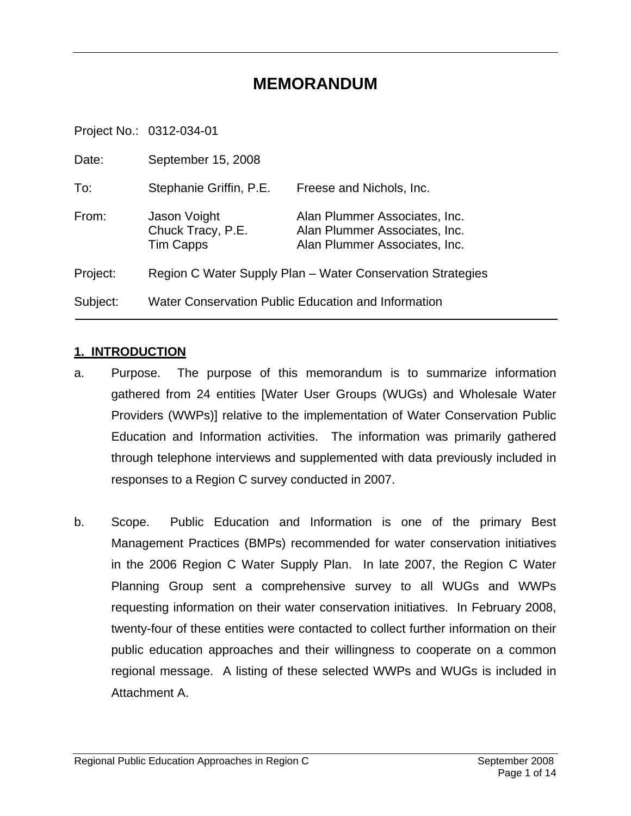### **MEMORANDUM**

Project No.: 0312-034-01

| Date:    | September 15, 2008                                         |                                                                                                 |  |
|----------|------------------------------------------------------------|-------------------------------------------------------------------------------------------------|--|
| To:      | Stephanie Griffin, P.E.                                    | Freese and Nichols, Inc.                                                                        |  |
| From:    | Jason Voight<br>Chuck Tracy, P.E.<br><b>Tim Capps</b>      | Alan Plummer Associates, Inc.<br>Alan Plummer Associates, Inc.<br>Alan Plummer Associates, Inc. |  |
| Project: | Region C Water Supply Plan – Water Conservation Strategies |                                                                                                 |  |
| Subject: | Water Conservation Public Education and Information        |                                                                                                 |  |

#### **1. INTRODUCTION**

- a. Purpose. The purpose of this memorandum is to summarize information gathered from 24 entities [Water User Groups (WUGs) and Wholesale Water Providers (WWPs)] relative to the implementation of Water Conservation Public Education and Information activities. The information was primarily gathered through telephone interviews and supplemented with data previously included in responses to a Region C survey conducted in 2007.
- b. Scope. Public Education and Information is one of the primary Best Management Practices (BMPs) recommended for water conservation initiatives in the 2006 Region C Water Supply Plan. In late 2007, the Region C Water Planning Group sent a comprehensive survey to all WUGs and WWPs requesting information on their water conservation initiatives. In February 2008, twenty-four of these entities were contacted to collect further information on their public education approaches and their willingness to cooperate on a common regional message. A listing of these selected WWPs and WUGs is included in Attachment A.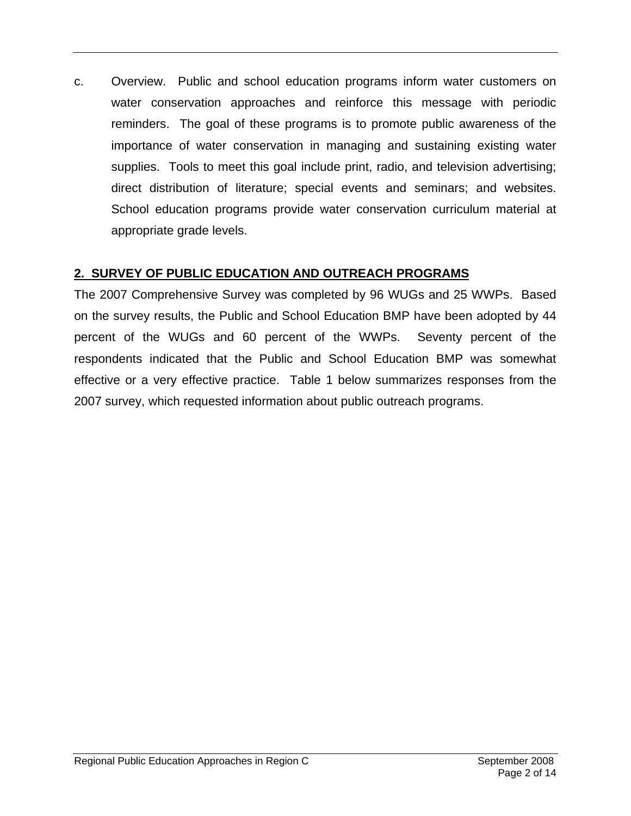c. Overview. Public and school education programs inform water customers on water conservation approaches and reinforce this message with periodic reminders. The goal of these programs is to promote public awareness of the importance of water conservation in managing and sustaining existing water supplies. Tools to meet this goal include print, radio, and television advertising; direct distribution of literature; special events and seminars; and websites. School education programs provide water conservation curriculum material at appropriate grade levels.

### **2. SURVEY OF PUBLIC EDUCATION AND OUTREACH PROGRAMS**

The 2007 Comprehensive Survey was completed by 96 WUGs and 25 WWPs. Based on the survey results, the Public and School Education BMP have been adopted by 44 percent of the WUGs and 60 percent of the WWPs. Seventy percent of the respondents indicated that the Public and School Education BMP was somewhat effective or a very effective practice. Table 1 below summarizes responses from the 2007 survey, which requested information about public outreach programs.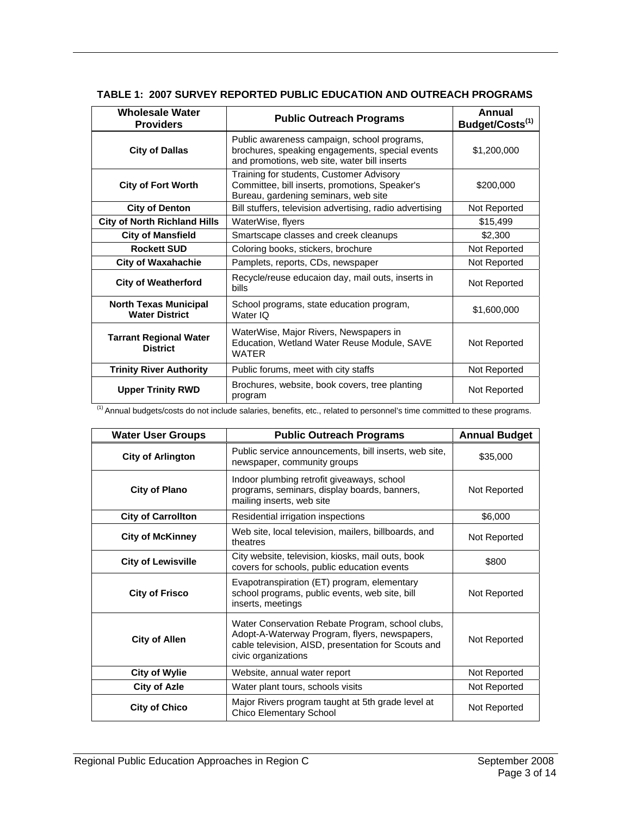| <b>Wholesale Water</b><br><b>Providers</b>            | <b>Public Outreach Programs</b>                                                                                                                | Annual<br>Budget/Costs <sup>(1)</sup> |
|-------------------------------------------------------|------------------------------------------------------------------------------------------------------------------------------------------------|---------------------------------------|
| <b>City of Dallas</b>                                 | Public awareness campaign, school programs,<br>brochures, speaking engagements, special events<br>and promotions, web site, water bill inserts | \$1,200,000                           |
| <b>City of Fort Worth</b>                             | Training for students, Customer Advisory<br>Committee, bill inserts, promotions, Speaker's<br>Bureau, gardening seminars, web site             | \$200,000                             |
| <b>City of Denton</b>                                 | Bill stuffers, television advertising, radio advertising                                                                                       | Not Reported                          |
| <b>City of North Richland Hills</b>                   | WaterWise, flyers                                                                                                                              | \$15,499                              |
| <b>City of Mansfield</b>                              | Smartscape classes and creek cleanups                                                                                                          | \$2,300                               |
| <b>Rockett SUD</b>                                    | Coloring books, stickers, brochure                                                                                                             | Not Reported                          |
| <b>City of Waxahachie</b>                             | Pamplets, reports, CDs, newspaper                                                                                                              | Not Reported                          |
| <b>City of Weatherford</b>                            | Recycle/reuse educaion day, mail outs, inserts in<br><b>bills</b>                                                                              | Not Reported                          |
| <b>North Texas Municipal</b><br><b>Water District</b> | School programs, state education program,<br>Water IQ                                                                                          | \$1,600,000                           |
| <b>Tarrant Regional Water</b><br><b>District</b>      | WaterWise, Major Rivers, Newspapers in<br>Education, Wetland Water Reuse Module, SAVE<br><b>WATER</b>                                          | Not Reported                          |
| <b>Trinity River Authority</b>                        | Public forums, meet with city staffs                                                                                                           | Not Reported                          |
| <b>Upper Trinity RWD</b>                              | Brochures, website, book covers, tree planting<br>program                                                                                      | Not Reported                          |

#### **TABLE 1: 2007 SURVEY REPORTED PUBLIC EDUCATION AND OUTREACH PROGRAMS**

(1) Annual budgets/costs do not include salaries, benefits, etc., related to personnel's time committed to these programs.

| <b>Water User Groups</b>  | <b>Public Outreach Programs</b>                                                                                                                                                 | <b>Annual Budget</b> |
|---------------------------|---------------------------------------------------------------------------------------------------------------------------------------------------------------------------------|----------------------|
| <b>City of Arlington</b>  | Public service announcements, bill inserts, web site,<br>newspaper, community groups                                                                                            | \$35,000             |
| <b>City of Plano</b>      | Indoor plumbing retrofit giveaways, school<br>programs, seminars, display boards, banners,<br>mailing inserts, web site                                                         | Not Reported         |
| <b>City of Carrollton</b> | Residential irrigation inspections                                                                                                                                              | \$6,000              |
| <b>City of McKinney</b>   | Web site, local television, mailers, billboards, and<br>theatres                                                                                                                | Not Reported         |
| <b>City of Lewisville</b> | City website, television, kiosks, mail outs, book<br>covers for schools, public education events                                                                                | \$800                |
| <b>City of Frisco</b>     | Evapotranspiration (ET) program, elementary<br>school programs, public events, web site, bill<br>inserts, meetings                                                              | Not Reported         |
| <b>City of Allen</b>      | Water Conservation Rebate Program, school clubs,<br>Adopt-A-Waterway Program, flyers, newspapers,<br>cable television, AISD, presentation for Scouts and<br>civic organizations | Not Reported         |
| <b>City of Wylie</b>      | Website, annual water report                                                                                                                                                    | Not Reported         |
| <b>City of Azle</b>       | Water plant tours, schools visits                                                                                                                                               | Not Reported         |
| <b>City of Chico</b>      | Major Rivers program taught at 5th grade level at<br><b>Chico Elementary School</b>                                                                                             | Not Reported         |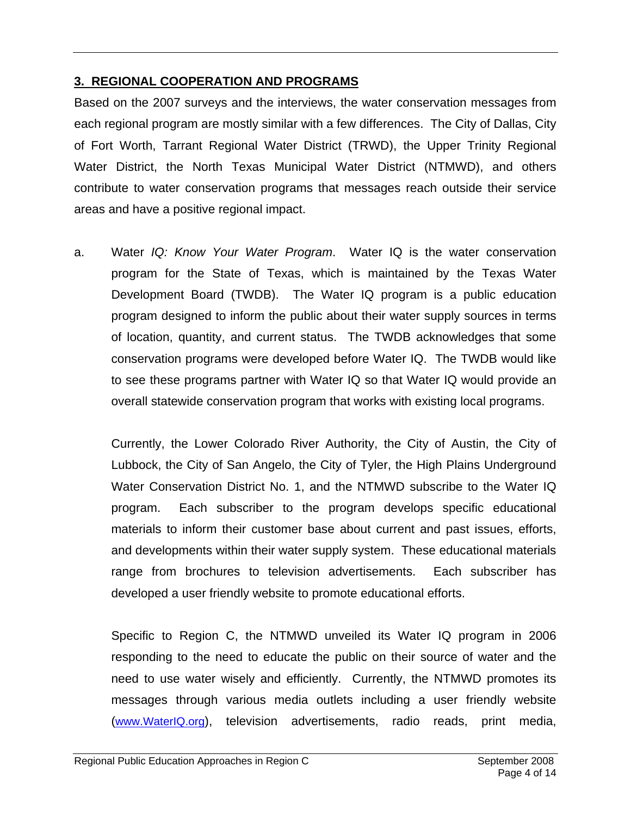#### **3. REGIONAL COOPERATION AND PROGRAMS**

Based on the 2007 surveys and the interviews, the water conservation messages from each regional program are mostly similar with a few differences. The City of Dallas, City of Fort Worth, Tarrant Regional Water District (TRWD), the Upper Trinity Regional Water District, the North Texas Municipal Water District (NTMWD), and others contribute to water conservation programs that messages reach outside their service areas and have a positive regional impact.

a. Water *IQ: Know Your Water Program*. Water IQ is the water conservation program for the State of Texas, which is maintained by the Texas Water Development Board (TWDB). The Water IQ program is a public education program designed to inform the public about their water supply sources in terms of location, quantity, and current status. The TWDB acknowledges that some conservation programs were developed before Water IQ. The TWDB would like to see these programs partner with Water IQ so that Water IQ would provide an overall statewide conservation program that works with existing local programs.

Currently, the Lower Colorado River Authority, the City of Austin, the City of Lubbock, the City of San Angelo, the City of Tyler, the High Plains Underground Water Conservation District No. 1, and the NTMWD subscribe to the Water IQ program. Each subscriber to the program develops specific educational materials to inform their customer base about current and past issues, efforts, and developments within their water supply system. These educational materials range from brochures to television advertisements. Each subscriber has developed a user friendly website to promote educational efforts.

Specific to Region C, the NTMWD unveiled its Water IQ program in 2006 responding to the need to educate the public on their source of water and the need to use water wisely and efficiently. Currently, the NTMWD promotes its messages through various media outlets including a user friendly website (www.WaterIQ.org), television advertisements, radio reads, print media,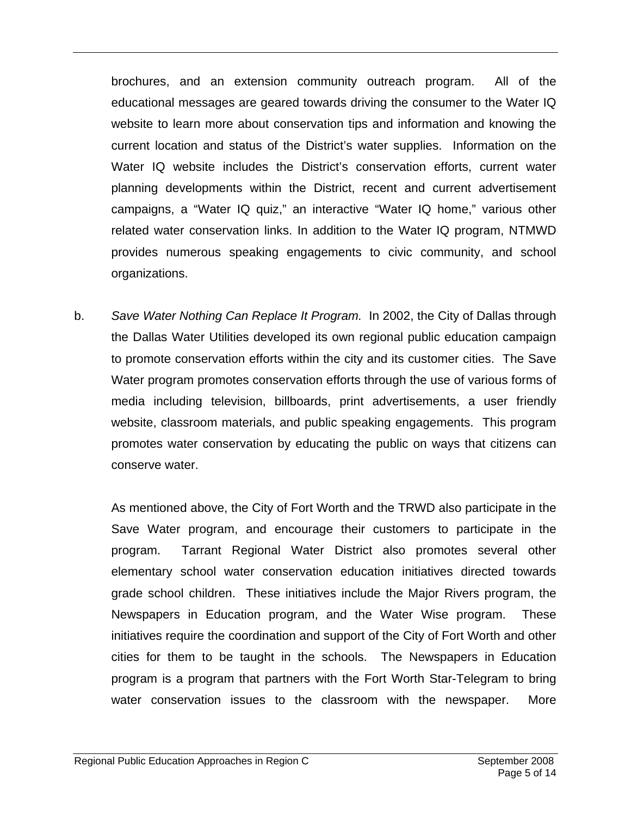brochures, and an extension community outreach program. All of the educational messages are geared towards driving the consumer to the Water IQ website to learn more about conservation tips and information and knowing the current location and status of the District's water supplies. Information on the Water IQ website includes the District's conservation efforts, current water planning developments within the District, recent and current advertisement campaigns, a "Water IQ quiz," an interactive "Water IQ home," various other related water conservation links. In addition to the Water IQ program, NTMWD provides numerous speaking engagements to civic community, and school organizations.

b. *Save Water Nothing Can Replace It Program.* In 2002, the City of Dallas through the Dallas Water Utilities developed its own regional public education campaign to promote conservation efforts within the city and its customer cities. The Save Water program promotes conservation efforts through the use of various forms of media including television, billboards, print advertisements, a user friendly website, classroom materials, and public speaking engagements. This program promotes water conservation by educating the public on ways that citizens can conserve water.

As mentioned above, the City of Fort Worth and the TRWD also participate in the Save Water program, and encourage their customers to participate in the program. Tarrant Regional Water District also promotes several other elementary school water conservation education initiatives directed towards grade school children. These initiatives include the Major Rivers program, the Newspapers in Education program, and the Water Wise program. These initiatives require the coordination and support of the City of Fort Worth and other cities for them to be taught in the schools. The Newspapers in Education program is a program that partners with the Fort Worth Star-Telegram to bring water conservation issues to the classroom with the newspaper. More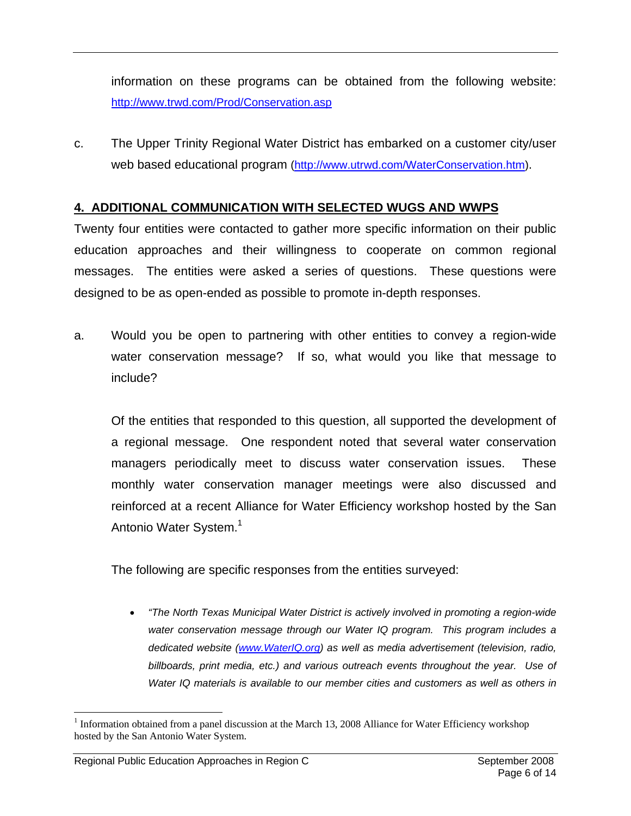information on these programs can be obtained from the following website: http://www.trwd.com/Prod/Conservation.asp

c. The Upper Trinity Regional Water District has embarked on a customer city/user web based educational program (http://www.utrwd.com/WaterConservation.htm).

#### **4. ADDITIONAL COMMUNICATION WITH SELECTED WUGS AND WWPS**

Twenty four entities were contacted to gather more specific information on their public education approaches and their willingness to cooperate on common regional messages. The entities were asked a series of questions. These questions were designed to be as open-ended as possible to promote in-depth responses.

a. Would you be open to partnering with other entities to convey a region-wide water conservation message? If so, what would you like that message to include?

Of the entities that responded to this question, all supported the development of a regional message. One respondent noted that several water conservation managers periodically meet to discuss water conservation issues. These monthly water conservation manager meetings were also discussed and reinforced at a recent Alliance for Water Efficiency workshop hosted by the San Antonio Water System.<sup>1</sup>

The following are specific responses from the entities surveyed:

• *"The North Texas Municipal Water District is actively involved in promoting a region-wide water conservation message through our Water IQ program. This program includes a dedicated website (www.WaterIQ.org) as well as media advertisement (television, radio, billboards, print media, etc.) and various outreach events throughout the year. Use of Water IQ materials is available to our member cities and customers as well as others in* 

 $\overline{a}$ 

<sup>&</sup>lt;sup>1</sup> Information obtained from a panel discussion at the March 13, 2008 Alliance for Water Efficiency workshop hosted by the San Antonio Water System.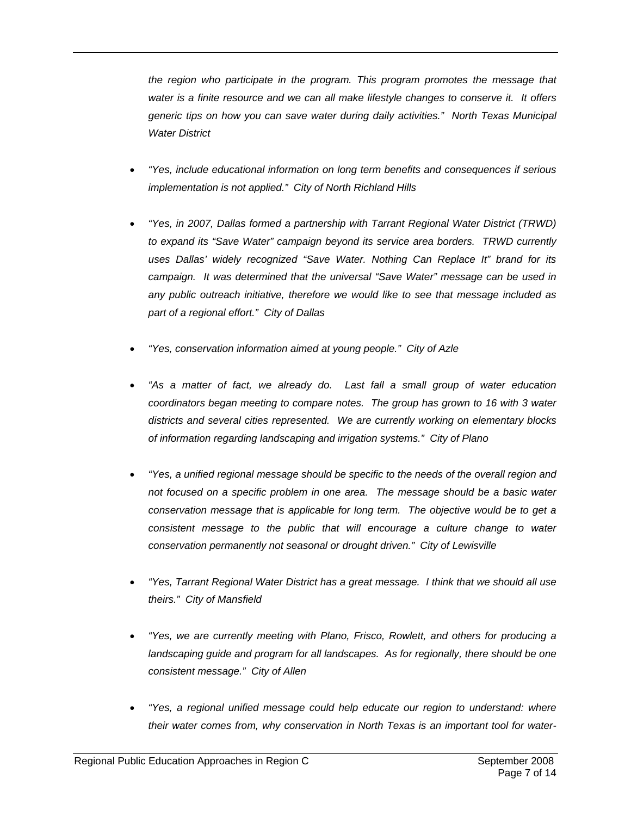*the region who participate in the program. This program promotes the message that water is a finite resource and we can all make lifestyle changes to conserve it. It offers generic tips on how you can save water during daily activities." North Texas Municipal Water District* 

- *"Yes, include educational information on long term benefits and consequences if serious implementation is not applied." City of North Richland Hills*
- *"Yes, in 2007, Dallas formed a partnership with Tarrant Regional Water District (TRWD) to expand its "Save Water" campaign beyond its service area borders. TRWD currently uses Dallas' widely recognized "Save Water. Nothing Can Replace It" brand for its campaign. It was determined that the universal "Save Water" message can be used in any public outreach initiative, therefore we would like to see that message included as part of a regional effort." City of Dallas*
- *"Yes, conservation information aimed at young people." City of Azle*
- *"As a matter of fact, we already do. Last fall a small group of water education coordinators began meeting to compare notes. The group has grown to 16 with 3 water districts and several cities represented. We are currently working on elementary blocks of information regarding landscaping and irrigation systems." City of Plano*
- *"Yes, a unified regional message should be specific to the needs of the overall region and not focused on a specific problem in one area. The message should be a basic water conservation message that is applicable for long term. The objective would be to get a*  consistent message to the public that will encourage a culture change to water *conservation permanently not seasonal or drought driven." City of Lewisville*
- *"Yes, Tarrant Regional Water District has a great message. I think that we should all use theirs." City of Mansfield*
- *"Yes, we are currently meeting with Plano, Frisco, Rowlett, and others for producing a*  landscaping guide and program for all landscapes. As for regionally, there should be one *consistent message." City of Allen*
- *"Yes, a regional unified message could help educate our region to understand: where their water comes from, why conservation in North Texas is an important tool for water-*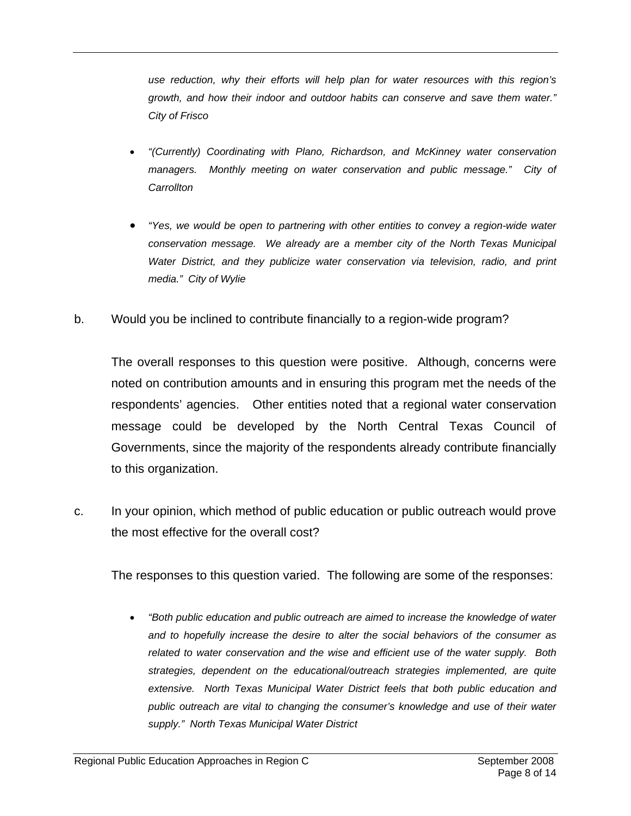*use reduction, why their efforts will help plan for water resources with this region's growth, and how their indoor and outdoor habits can conserve and save them water." City of Frisco* 

- *"(Currently) Coordinating with Plano, Richardson, and McKinney water conservation*  managers. Monthly meeting on water conservation and public message." City of *Carrollton*
- *"Yes, we would be open to partnering with other entities to convey a region-wide water conservation message. We already are a member city of the North Texas Municipal Water District, and they publicize water conservation via television, radio, and print media." City of Wylie*
- b. Would you be inclined to contribute financially to a region-wide program?

The overall responses to this question were positive. Although, concerns were noted on contribution amounts and in ensuring this program met the needs of the respondents' agencies. Other entities noted that a regional water conservation message could be developed by the North Central Texas Council of Governments, since the majority of the respondents already contribute financially to this organization.

c. In your opinion, which method of public education or public outreach would prove the most effective for the overall cost?

The responses to this question varied. The following are some of the responses:

• *"Both public education and public outreach are aimed to increase the knowledge of water and to hopefully increase the desire to alter the social behaviors of the consumer as related to water conservation and the wise and efficient use of the water supply. Both strategies, dependent on the educational/outreach strategies implemented, are quite extensive. North Texas Municipal Water District feels that both public education and public outreach are vital to changing the consumer's knowledge and use of their water supply." North Texas Municipal Water District*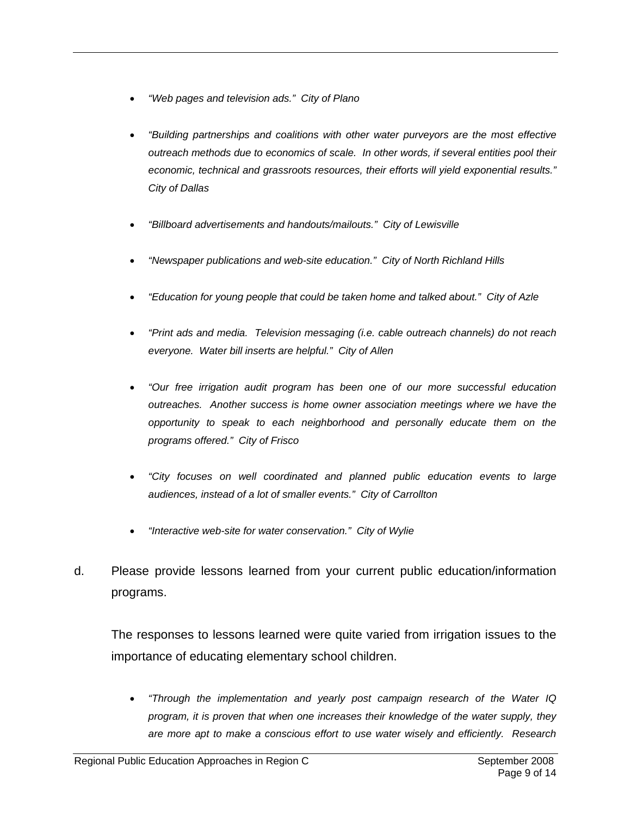- *"Web pages and television ads." City of Plano*
- *"Building partnerships and coalitions with other water purveyors are the most effective outreach methods due to economics of scale. In other words, if several entities pool their economic, technical and grassroots resources, their efforts will yield exponential results." City of Dallas*
- *"Billboard advertisements and handouts/mailouts." City of Lewisville*
- *"Newspaper publications and web-site education." City of North Richland Hills*
- *"Education for young people that could be taken home and talked about." City of Azle*
- *"Print ads and media. Television messaging (i.e. cable outreach channels) do not reach everyone. Water bill inserts are helpful." City of Allen*
- *"Our free irrigation audit program has been one of our more successful education outreaches. Another success is home owner association meetings where we have the opportunity to speak to each neighborhood and personally educate them on the programs offered." City of Frisco*
- *"City focuses on well coordinated and planned public education events to large audiences, instead of a lot of smaller events." City of Carrollton*
- *"Interactive web-site for water conservation." City of Wylie*
- d. Please provide lessons learned from your current public education/information programs.

The responses to lessons learned were quite varied from irrigation issues to the importance of educating elementary school children.

• *"Through the implementation and yearly post campaign research of the Water IQ program, it is proven that when one increases their knowledge of the water supply, they are more apt to make a conscious effort to use water wisely and efficiently. Research*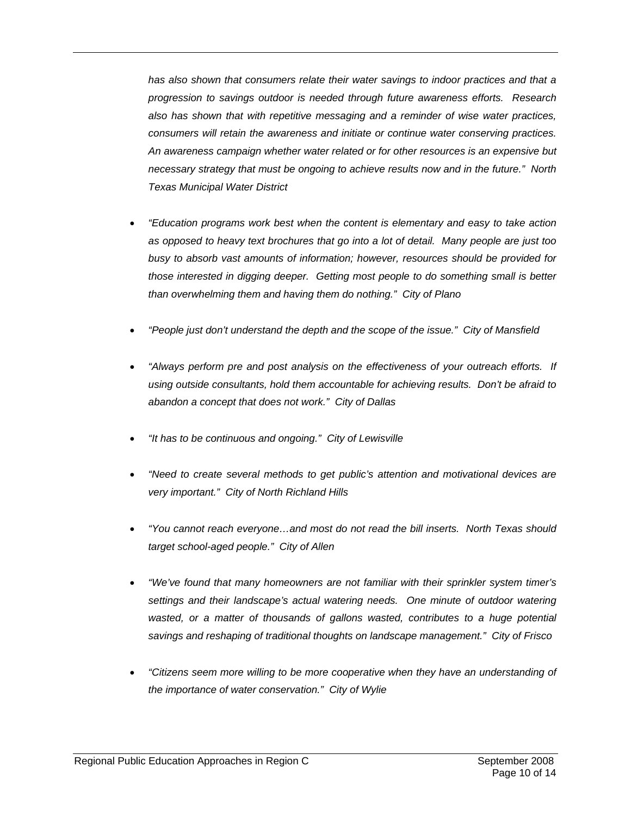*has also shown that consumers relate their water savings to indoor practices and that a progression to savings outdoor is needed through future awareness efforts. Research also has shown that with repetitive messaging and a reminder of wise water practices, consumers will retain the awareness and initiate or continue water conserving practices. An awareness campaign whether water related or for other resources is an expensive but necessary strategy that must be ongoing to achieve results now and in the future." North Texas Municipal Water District* 

- *"Education programs work best when the content is elementary and easy to take action as opposed to heavy text brochures that go into a lot of detail. Many people are just too busy to absorb vast amounts of information; however, resources should be provided for those interested in digging deeper. Getting most people to do something small is better than overwhelming them and having them do nothing." City of Plano*
- *"People just don't understand the depth and the scope of the issue." City of Mansfield*
- *"Always perform pre and post analysis on the effectiveness of your outreach efforts. If using outside consultants, hold them accountable for achieving results. Don't be afraid to abandon a concept that does not work." City of Dallas*
- *"It has to be continuous and ongoing." City of Lewisville*
- *"Need to create several methods to get public's attention and motivational devices are very important." City of North Richland Hills*
- *"You cannot reach everyone…and most do not read the bill inserts. North Texas should target school-aged people." City of Allen*
- *"We've found that many homeowners are not familiar with their sprinkler system timer's settings and their landscape's actual watering needs. One minute of outdoor watering*  wasted, or a matter of thousands of gallons wasted, contributes to a huge potential *savings and reshaping of traditional thoughts on landscape management." City of Frisco*
- *"Citizens seem more willing to be more cooperative when they have an understanding of the importance of water conservation." City of Wylie*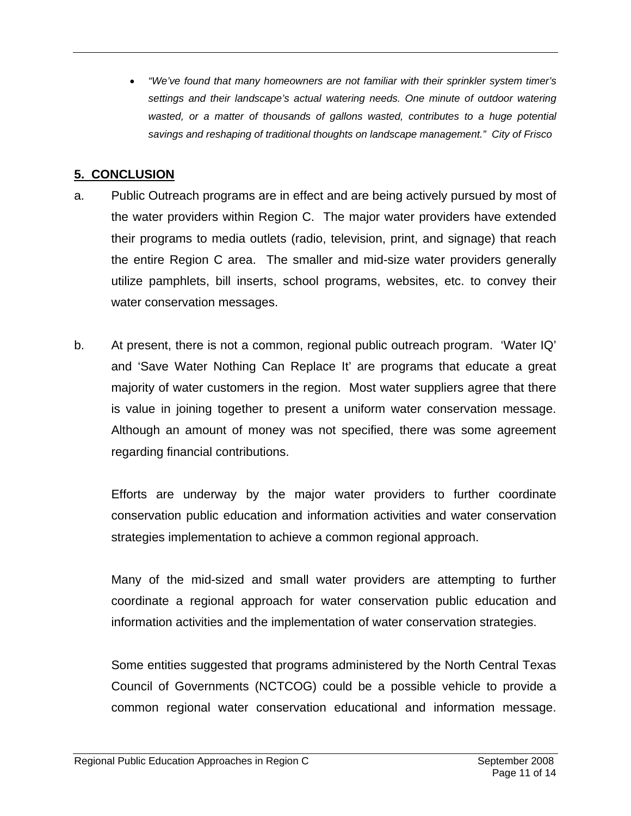• *"We've found that many homeowners are not familiar with their sprinkler system timer's settings and their landscape's actual watering needs. One minute of outdoor watering*  wasted, or a matter of thousands of gallons wasted, contributes to a huge potential *savings and reshaping of traditional thoughts on landscape management." City of Frisco* 

### **5. CONCLUSION**

- a. Public Outreach programs are in effect and are being actively pursued by most of the water providers within Region C. The major water providers have extended their programs to media outlets (radio, television, print, and signage) that reach the entire Region C area. The smaller and mid-size water providers generally utilize pamphlets, bill inserts, school programs, websites, etc. to convey their water conservation messages.
- b. At present, there is not a common, regional public outreach program. 'Water IQ' and 'Save Water Nothing Can Replace It' are programs that educate a great majority of water customers in the region. Most water suppliers agree that there is value in joining together to present a uniform water conservation message. Although an amount of money was not specified, there was some agreement regarding financial contributions.

Efforts are underway by the major water providers to further coordinate conservation public education and information activities and water conservation strategies implementation to achieve a common regional approach.

Many of the mid-sized and small water providers are attempting to further coordinate a regional approach for water conservation public education and information activities and the implementation of water conservation strategies.

Some entities suggested that programs administered by the North Central Texas Council of Governments (NCTCOG) could be a possible vehicle to provide a common regional water conservation educational and information message.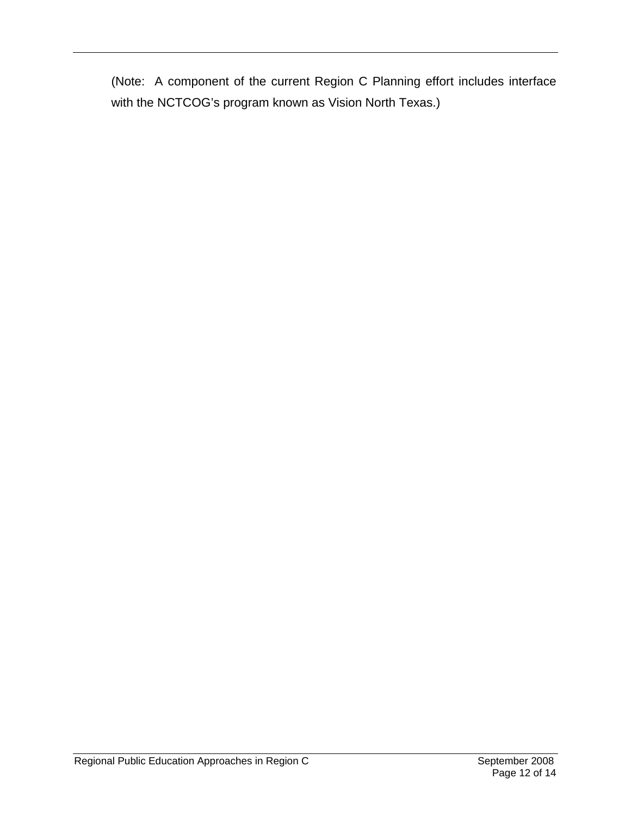(Note: A component of the current Region C Planning effort includes interface with the NCTCOG's program known as Vision North Texas.)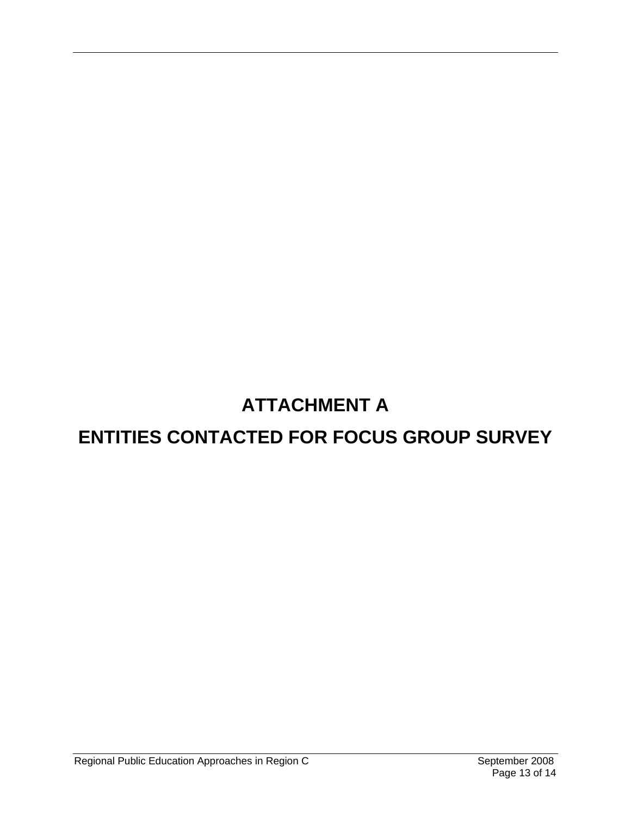# **ATTACHMENT A**

## **ENTITIES CONTACTED FOR FOCUS GROUP SURVEY**